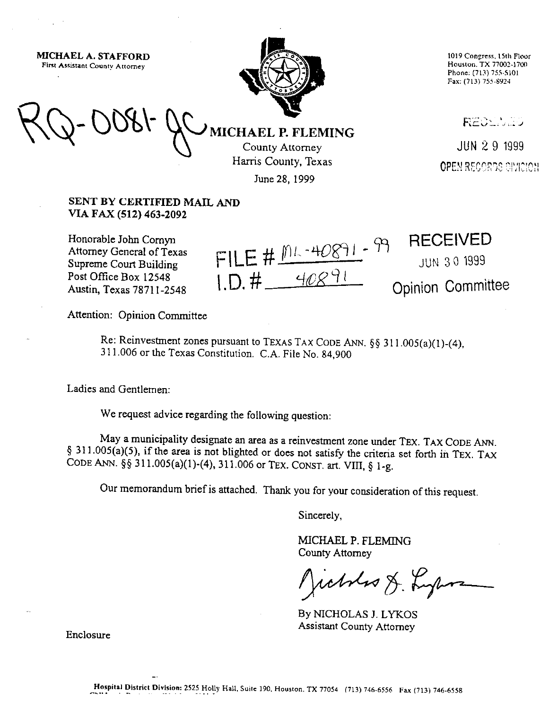MICHAEL A. STAFFORD First Assistant County Attorney



1019 Congress, 15th Floor **Houston. TX 77002-1700 Phone:(713,755-5101**  Fax: (713) 755-8924

**RECENTS** 

JUN 29 1999 **OPEN RECORDS DIVICION** 

**MICHAEL P. FLEMING** County Attorney Harris County, Texas

June 28, 1999

## SENT BY CERTIFIED MAIL AND VIA FAX (512) 463-2092

Honorable John Cornyn Attorney General of Texas Supreme Court Building Post Office Box 12548 Austin, Texas 7871 l-2548

FILE #  $M_{1.9891}$  - 99<br>1.D. #  $40891$ 

**RECEIVED** JUN 30 1999

Opinion Committee

Attention: Opinion Committee

Re: Reinvestment zones pursuant to **TEXAS TAX CODE ANN. \$5** 311.005(a)(l)-(4), 3 11.006 or the Texas Constitution. C.A. File No. 84,900

Ladies and Gentlemen:

We request advice regarding the following question:

May a municipality designate an area as a reinvestment zone under TEX. TAX CODE ANN. 4 311.005(a)(5), if the area is not blighted or does not satisfy the criteria set forth in **TEX.** TAX **CODE** ANN. \$5 311.005(a)(l)-(4), 311.006 or TEX. CONST. art. VIII, g l-g.

Our memorandum brief is attached. Thank you for your consideration of this request,

Sincerely,

MICHAEL P. FLEMING County Attorney

rabbes & Lyons

By NICHOLAS J. LYKOS Assistant County Attorney

Enclosure

 $\ddot{\phantom{0}}$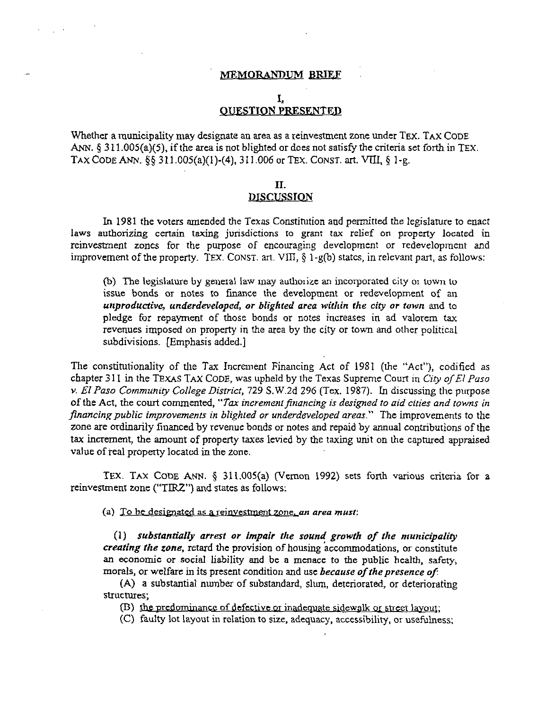#### MEMORANDUM BRIEF

## 1: **OUESTION PRESENTED**

Whether a municipality may designate an area as a reinvestment zone under TEX. TAX CODE ANN.  $\S 311.005(a)(5)$ , if the area is not blighted or does not satisfy the criteria set forth in TEX. TAX CODE ANN.  $\S$ § 311.005(a)(1)-(4), 311.006 or TEX. CONST. art. VIII, § 1-g.

#### II.

### **DISCUSSION**

In 1981 the voters amended the Texas Constitution and permitted the legislature to enact laws authorizing certain taxing jurisdictions to grant tax relief on property located in reinvestment zones for the purpose of encouraging development or redevelopment and improvement of the property. TEX. CONST. art. VIII, § 1-g(b) states, in relevant part, as follows:

(h) The legislature by general law may authorize an incorporated city or town to issue bonds or notes to fmance the development or redevelopment of an *unproductive, underdeveloped, or blighted area within the city or town* and to pledge for repayment of those bonds or notes increases in ad valorem tax revenues imposed on properry in the area by the city or town and other political subdivisions. [Emphasis added.]

The constitutionality of the Tax Increment Financing Act of 1981 (the "Act"), codified as chapter 3 11 in the TEXAS **TAX** CODE, was upheld by the Texas Supreme Court *in City o/El Paso v. El Paso Community College District, 729 S.W.2d 296 (Tex. 1987). In discussing the purpose* of the Act, the court commented, "Tax increment financing is designed to aid cities and towns in *financing public improvements in blighted or underdeveloped areas."* The improvements to the zone are ordinarily linanced by revenue bonds or notes and repaid by annual contributions of the tax increment, the amount of property taxes levied by the taxing unit on the captured appraised value of real property located in the zone.

TEX. TAX CODE ANN. § 311.005(a) (Vernon 1992) sets forth various criteria for a reinvestment zone ("TIRZ") and states as follows:

(a) To be designated as a reinvestment zone, an area *must*:

(1) *substantially arrest or impair the sound growth of the municipality* creating the zone, retard the provision of housing accommodations, or constitute an economic *or* social liability and be a menace to the public health, safety, morals, or welfare in its present condition and use *because of the presence of*:

(A) a substantial number of substandard, slum, deteriorated, or deteriorating structures;

(B) the predominance of defective or inadequate sidewalk or street layout;

(C) faulty lot layout in relation to size, adequacy, accessibility, or usefulness;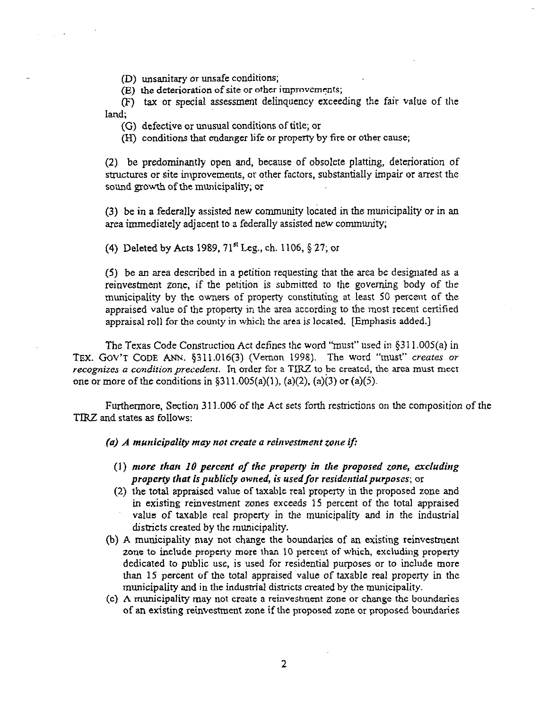(D) unsanitary or unsafe conditions;

 $\sigma_{\rm{eff}}=1.00$  km  $^{-1}$ 

 $(E)$  the deterioration of site or other improvements;

(F) tax or special assessment delinquency exceeding the fair value of the land;

(G) defective or unusual conditions of title; or

(HI) conditions that endanger life or property by fire or other cause;

(2) be predominantly open and, because of obsolete platting, deterioration of structures or site improvements, or other factors, substantially impair or arrest the sound gowth of the municipality; or

(3) be in a federally assisted new community located in the municipality or in an area immediately adjacent to a federally assisted new community;

(4) Deleted by Acts 1989, 71<sup>st</sup> Leg., ch. 1106, § 27; or

(5) be an area described in a petition requesting that the arca be designated as a reinvestment zone, if the petition is submitted to the goveming body of the municipality by the owners of property constituting at least 50 percent of the appraised value of the property in the area according to the most recent certified appraisal roll for the county in which the area is located. [Emphasis added.]

The Texas Code Construction Act defines the word "must" used in \$3 11.005(a) in TEX. GOV'T CODE ANN. 5311.016(3) (Vernon 1998). The word "must" creutes or recognizes a condition precedent. In order for a TIRZ to be created, the area must meet one or more of the conditions in  $\S311.005(a)(1)$ , (a)(2), (a)(3) or (a)(5).

Furthermore, Section 311.006 of the Act sets forth restrictions on the composition of the TRZ and states as follows:

(a) A municipality may not create a reinvestment zone if:

- (1) *more than 10 percent of the property in the proposed zone, excluding property that is publicly owned, is used for residential purposes; or*
- (2) the total appraised value of taxable real property in the proposed zone and in existing reinvestment zones exceeds 15 percent of the total appraised value of taxable real property in the municipality and in the industrial **districts created** by the municipality.
- (b) A municipality may not change the boundaries of an existing reinvestment zone to include property more than 10 percent of which, excluding property dedicated to public use, is used for residential purposes or to include more than 15 percent of the total appraised value of taxable real property in the municipality and in the industrial districts created by the municipality.
- (c) A municipality may not create a reinvestment zone or change the boundaries of an existing reinvestment zone if the proposed zone or proposed boundaries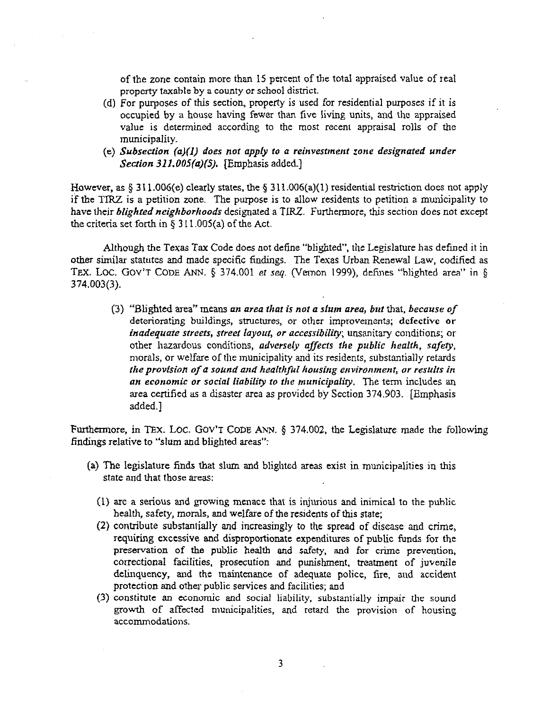of the zone contain more than 15 percent of the total appraised value of real property taxable by a county or school district.

- $(d)$  For purposes of this section, property is used for residential purposes if it is occupied by a house having fewer than five living units, and the appraised value is determined according to the most recent appraisal rolls of the municipality.
- *(e) Subsection (a)(l) does not apply to a reinvestment zone designated under Section 3llJOS(a)(S).* [Emphasis added.]

However, as  $\S 311.006(e)$  clearly states, the  $\S 311.006(a)(1)$  residential restriction does not apply if the TIRZ is a petition zone. The purpose is to allow residents to petition a municipality to have their *blighted neighborhoods* designated a TIRZ. Furthermore, this section does not except the criteria set forth in  $\S 311.005(a)$  of the Act.

Although the Texas Tax Code does not define "blighted", the Legislature has defined it in other similar statutes and made specific findings. The Texas Urban Renewal Law, codified as TEX. LOC. GOV'T CODE ANN. § 374.001 et seq. (Vernon 1999), defines "blighted area" in § **374.003(3).** 

**(3)** "Blighted area" means on *area that is not a slum area, bnf* that, *because of*  deteriorating buildings, structures, or other improvements; defective or *inadequate streets, street layout, or accessibility; unsanitary conditions; or* other hazardous conditions, adversely *affecfs the public health, safety,*  morals, or welfare of the municipality and its residents, substantially retards *the provision of a sound and healthful housing environment, or results in*  an economic or social liability to the municipality. The term includes an area certified as a disaster area as provided by Section 374.903. [Emphasis added.]

**Furthermore,** in TEx. LOC. GOV'T CODE ANN. \$ 374.002, the Legislature made the following findings relative to "slum and blighted areas":

- (a) The legislature finds that slum and blighted areas exist in municipalities in this state and that those areas:
	- (1) arc a serious and growing menace that is injurious and inimical to the public health, safety, morals, and welfare of the residents of this state;
	- (2) contribute substantially and increasingly to the spread of disease and crime, requiring excessive and disproportionate expenditures of public funds for the preservation of the public health and safety, and for crime prevention, correctional facilities. prosecution and punishment, treatment of juvenile delinquency, and the maintenance of adequate police, fire, and accident protection and other public services and facilities; and
	- (3) constitute an economic and social liability, substantially impair the sound growth of affected municipalities, and retard the provision of housing accommodations.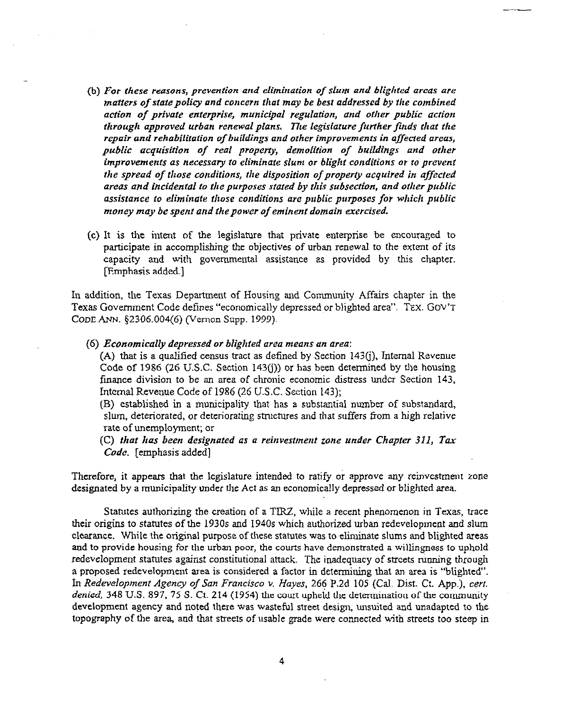- *(b) For these reasons, prevention and elimination of slum and blighted areas are matters of state policy and concern that may be best addressed by the combined action of private enterprise, municipal regulation, and other public action through approved urban renewal plans. The legislature further finds that the repair and rehabiiitafion of buildings and other improvements in. affected areas, public acquisition of teal property, demolition of buildings and other*  improvements as necessary to eliminate slum or blight conditions or to prevent *the spread of those conditions, the disposition of property acquired in affected areas and incidental IO the purposes stated by this subsection, and other public assistance to eliminate those conditions are public purposes for which public money may be spent and fhepower of eminent domain exercised.*
- (c) It is the intent of the legislature that private enterprise be encouraged to participate in accomplishing the objectives of urban renewal to the extent of its capacity and with governmental assistance as provided by this chapter. [Emphasis added.]

In addition, the Texas Department of Housing and Community Affairs chapter in the Texas Government Code defines "economically depressed,or blighted area". TEX. GOV'T CODE ANN.  $$2306.004(6)$  (Vernon Supp. 1999).

(6) *Economically depressed or blighted area means an area:* 

(A) that is a qualified census tract as defined by Section  $143(i)$ , Internal Revenue Code of 1986 (26 U.S.C. Section 143(j)) or has been determined by the housing finance division to be an area of chronic economic distress under Section 143, Internal Revenue Code of 1986 (26 U.S.C. Section 143);

(B) established in a municipality that has a substantial number of substandard, slum, deteriorated, or deteriorating structures and that suffers from a high relative rate of unemployment; or

*(C) that has been designated as* **Q** *reinvestment zone under Chapter 311, Ter*  Code. [emphasis added]

Therefore, it appears that the legislature intended to ratify or approve any reinvestment zone designated by a municipality under the Act as an economically depressed or blighted area.

Statutes authorizing the creation of a TIRZ, while a recent phenomenon in Texas, trace their origins to statutes of the 1930s and 1940s which authorized urban redevelopment and slum clearance. While the original purpose of these statutes was to eliminate slums and blighted areas and to provide housing for the urban poor, the courts have demonstrated a willingness to uphold redevelopment statutes against constitutional attack. The inadequacy of streets running through a proposed redevelopment area is considered a factor in determining that an area is "blighted". *In Redevelopment Agency of* San *Francisco* v. *Hayes.* 266 P.2d 105 (Cal. Dist. Ct. App.), cert. *denied,* 348 U.S. 897, 75 S. Ct. 214 (1954) the court upheld the determination of the community development agency and noted there was wasteful street design, unsuited and unadapted to the topography of the area, and that streets of usable grade were connected wjth streets too steep in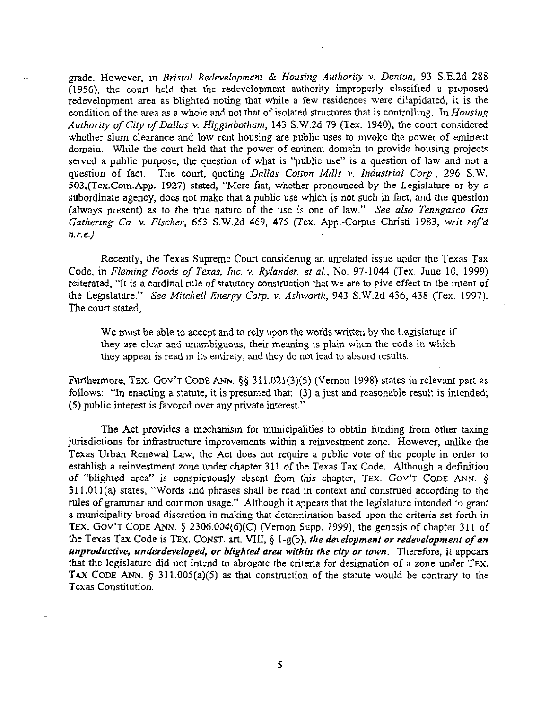grade. However, in Bristol Redevelopment & Housing Authority v. Denton, 93 S.E.2d 288 (1956), the court held that the redevelopment authority improperly classified a proposed redevelopment area as blighted noting that while a few residences were dilapidated, it is the condition of the area as a whole and not that of isolated structures that is controlling. In Housing *Authority of City of Dallas Y. Higginborham,* 143 S.W.2d 79 (Tex. 1940), the court considered whether slum clearance and low rent housing are public uses to invoke the power of eminent domain. While the court held that the power of eminent domain to provide housing projects served a public purpose, the question of what is "public use" is a question of law aud not a question of fact. *The court,* quoting *Dallas Cotron Mills v. Industrial Corp., 29G* SW. 503,(Tex.Com.App. 1927) stated, "Mere fiat, whether pronounced by the Legislature or by a subordinate agency, does not make that a public use which is not such in fact, and the question (always present) as to the true nature of the use is one of law." See *also Tenngasco Gas Gathering Co. v. Fischer,* 653 S.W.2d 469, 475 (Tex. App.-Corpus Christi 1983, writ re/'d  $n.r.e.$ )

Recently, the Texas Supreme Court considering an unrelated issue under the Texas Tax Code, in *Fleming Foods of Texas, Inc. v. Rylander, et al., No.* 97-1044 (Tex. June 10, 1999) reiterated, 'It is a cardinal rule of statutory construction that we are to give effect to the intent of the Legislature." See *Mitchell Energy Corp. v. Ashworth, 943* S.W.2d 436, 438 (Tex. 1997). The court stated,

We must be able to accept and to rely upon the words written by the Legislature if they are clear and unambiguous, their meaning is plain when the code in which they appear is read in its entirety, and they do not lead to absurd results.

Furthermore, TEX. GOV'T CODE ANN. §§ 311.021(3)(5) (Vernon 1998) states in relevant part as follows: "In enacting a statute, it is presumed that: (3) a just and reasonable result is intended; (5) public interest is favored over any private interest."

The Act provides a mechanism for municipalities to obtain funding Tom other taxing jurisdictions for infrastructure improvements within a reinvestment zone. However, unlike the Texas Urban Renewal Law, the Act does not require a public vote of the people in order to establish a reinvestment zone under chapter 311 of the Texas Tax Code. Although a definition of "blighted area" is conspicuously absent from this chapter, TEX. GOV'T CODE ANN. g 3 11.011 (a) states, "Words and phrases shall be read in context and construed according to the rules of grammar and common usage," Although it appears that the legislature intended to grant a municipality broad discretion in making that determination based upon the criteria set forth in TEX. GOV'T CODE ANN. § 2306.004(6)(C) (Vernon Supp. 1999), the genesis of chapter 311 of *the Texas Tax Code is TEX. CONST. art. VIII, § 1-g(b), the development or redevelopment of an* unproductive, underdeveloped, or blighted area within the city or town. Therefore, it appears that the legislature did not intend to abrogate the criteria for designation of a zone under TEX. TAX CODE ANN. § 311.005(a)(5) as that construction of the statute would be contrary to the Texas Constitution.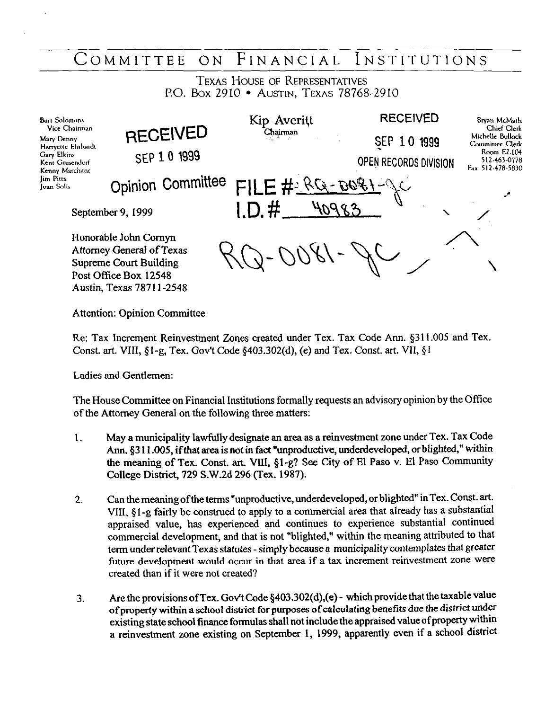# COMMITTEE ON FINANCIAL INSTITUTIONS

TEXAS HOUSE OF REPRESENTATIVES P.O. Box 2910 · AUSTIN, TEXAS 78768-2910

| <b>Burt Solomons</b><br>Vice Chairman<br>Mary Denny<br>Harryette Ehrhardt<br>Gary Elkins<br><b>Kent Grusendorf</b><br>Kenny Marchant     | <b>RECEIVED</b><br>SEP 10 1999 | Kip Averitt<br>Chairman | <b>RECEIVED</b><br><b>SEP 10</b><br>1999<br>OPEN RECORDS DIVISION | Bryan McMath<br>Chief Clerk<br>Michelle Bullock<br>Committee Clerk<br>Room E2.104<br>512-463-0778<br>Fax: 512-478-5830 |
|------------------------------------------------------------------------------------------------------------------------------------------|--------------------------------|-------------------------|-------------------------------------------------------------------|------------------------------------------------------------------------------------------------------------------------|
| <b>Jim Pitts</b><br><b>Juan Solis</b>                                                                                                    | <b>Opinion Committee</b>       | FILE#RG-DOGI-JC         |                                                                   | ≁                                                                                                                      |
| September 9, 1999                                                                                                                        |                                | $1.D.$ #                |                                                                   |                                                                                                                        |
| Honorable John Cornyn<br>Attorney General of Texas<br><b>Supreme Court Building</b><br>Post Office Box 12548<br>Austin, Texas 78711-2548 |                                |                         |                                                                   |                                                                                                                        |

Attention: Opinion Committee

Re: Tax Increment Reinvestment Zones created under Tex. Tax Code Ann. \$3 11.005 and Tex. Const. art. VIII,  $\S1$ -g, Tex. Gov't Code  $\S403.302(d)$ , (e) and Tex. Const. art. VII,  $\S1$ 

Ladies and Gentlemen:

The House Committee on Financial Institutions formally requests an advisory opinion by the Office of the Attorney General on the following three matters:

- 1. May a municipality lawfully designate an area as a reinvestment zone under Tex. Tax Code Ann. \$3 11.005, ifthat area is not in fact "unproductive, underdeveloped, or blighted," within the meaning of Tex. Const. art. VIII, \$1-g? See City of El Paso v. El Paso Community College District, 729 S.W.2d 296 (Tex. 1987).
- 2. Can the meaning of the terms "unproductive, underdeveloped, or blighted" in Tex. Const. art. VIII, 5 1 -g fairly be construed to apply to a commercial area that already has a substantial appraised value, has experienced and continues to experience substantial continued commercial development, and that is not "blighted," within the meaning attributed to that term under relevant Texas statutes - simply because a municipality contemplates that greater future development would occur in that area if a tax increment reinvestment zone were created than if it were not created?
- 3. Are the provisions of Tex. Gov't Code §403.302(d),(e) which provide that the taxable value of property within a school district for purposes of calculating benefits due the district under existing state school finance formulas shall not include the appraised value of property **Within**  a reinvestment zone existing on September I, 1999, apparently even if a school district